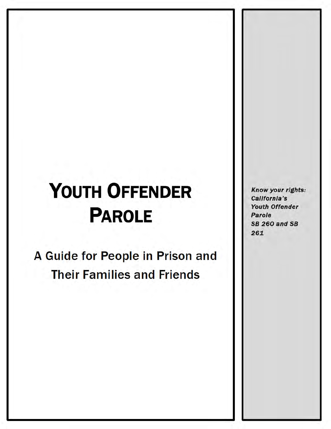# **YOUTH OFFENDER PAROLE**

A Guide for People in Prison and **Their Families and Friends** 

Know your rights: California's Youth Offender Parole **SB 260 and SB** 261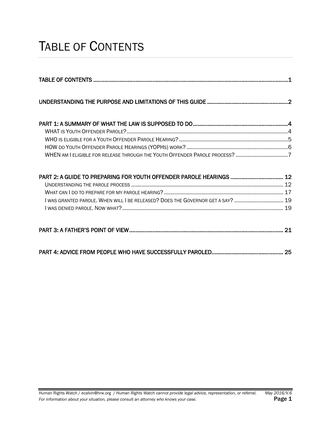### <span id="page-1-0"></span>TABLE OF CONTENTS

| WHEN AM I ELIGIBLE FOR RELEASE THROUGH THE YOUTH OFFENDER PAROLE PROCESS? 7                                                                            |  |
|--------------------------------------------------------------------------------------------------------------------------------------------------------|--|
| PART 2: A GUIDE TO PREPARING FOR YOUTH OFFENDER PAROLE HEARINGS  12<br>I WAS GRANTED PAROLE. WHEN WILL I BE RELEASED? DOES THE GOVERNOR GET A SAY?  19 |  |
|                                                                                                                                                        |  |
|                                                                                                                                                        |  |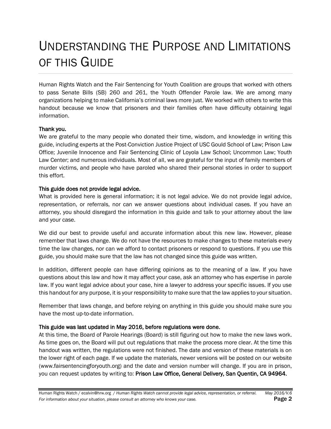### <span id="page-2-0"></span>UNDERSTANDING THE PURPOSE AND LIMITATIONS OF THIS GUIDE

Human Rights Watch and the Fair Sentencing for Youth Coalition are groups that worked with others to pass Senate Bills (SB) 260 and 261, the Youth Offender Parole law. We are among many organizations helping to make California's criminal laws more just. We worked with others to write this handout because we know that prisoners and their families often have difficulty obtaining legal information.

#### Thank you.

We are grateful to the many people who donated their time, wisdom, and knowledge in writing this guide, including experts at the Post-Conviction Justice Project of USC Gould School of Law; Prison Law Office; Juvenile Innocence and Fair Sentencing Clinic of Loyola Law School; Uncommon Law; Youth Law Center; and numerous individuals. Most of all, we are grateful for the input of family members of murder victims, and people who have paroled who shared their personal stories in order to support this effort.

#### This guide does not provide legal advice.

What is provided here is general information; it is not legal advice. We do not provide legal advice, representation, or referrals, nor can we answer questions about individual cases. If you have an attorney, you should disregard the information in this guide and talk to your attorney about the law and your case.

We did our best to provide useful and accurate information about this new law. However, please remember that laws change. We do not have the resources to make changes to these materials every time the law changes, nor can we afford to contact prisoners or respond to questions. If you use this guide, you should make sure that the law has not changed since this guide was written.

In addition, different people can have differing opinions as to the meaning of a law. If you have questions about this law and how it may affect your case, ask an attorney who has expertise in parole law. If you want legal advice about your case, hire a lawyer to address your specific issues. If you use this handout for any purpose, it is your responsibility to make sure that the law applies to your situation.

Remember that laws change, and before relying on anything in this guide you should make sure you have the most up-to-date information.

#### This guide was last updated in May 2016, before regulations were done.

At this time, the Board of Parole Hearings (Board) is still figuring out how to make the new laws work. As time goes on, the Board will put out regulations that make the process more clear. At the time this handout was written, the regulations were not finished. The date and version of these materials is on the lower right of each page. If we update the materials, newer versions will be posted on our website (www.fairsentencingforyouth.org) and the date and version number will change. If you are in prison, you can request updates by writing to: Prison Law Office, General Delivery, San Quentin, CA 94964.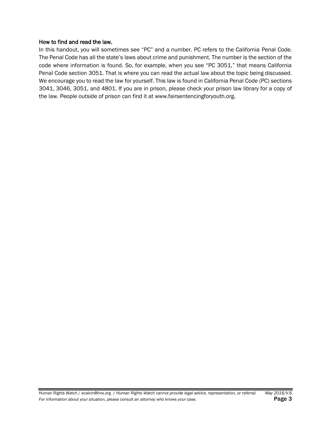#### How to find and read the law.

In this handout, you will sometimes see "PC" and a number. PC refers to the California Penal Code. The Penal Code has all the state's laws about crime and punishment. The number is the section of the code where information is found. So, for example, when you see "PC 3051," that means California Penal Code section 3051. That is where you can read the actual law about the topic being discussed. We encourage you to read the law for yourself. This law is found in California Penal Code (PC) sections 3041, 3046, 3051, and 4801. If you are in prison, please check your prison law library for a copy of the law. People outside of prison can find it at www.fairsentencingforyouth.org.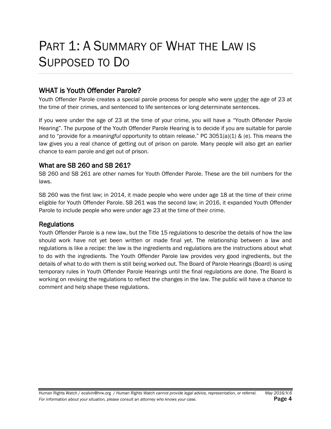# <span id="page-4-0"></span>PART 1: A SUMMARY OF WHAT THE LAW IS SUPPOSED TO DO

#### <span id="page-4-1"></span>WHAT is Youth Offender Parole?

Youth Offender Parole creates a special parole process for people who were under the age of 23 at the time of their crimes, and sentenced to life sentences or long determinate sentences.

If you were under the age of 23 at the time of your crime, you will have a "Youth Offender Parole Hearing". The purpose of the Youth Offender Parole Hearing is to decide if you are suitable for parole and to "provide for a *meaningful* opportunity to obtain release." PC 3051(a)(1) & (e). This means the law gives you a real chance of getting out of prison on parole. Many people will also get an earlier chance to earn parole and get out of prison.

#### What are SB 260 and SB 261?

SB 260 and SB 261 are other names for Youth Offender Parole. These are the bill numbers for the laws.

SB 260 was the first law; in 2014, it made people who were under age 18 at the time of their crime eligible for Youth Offender Parole. SB 261 was the second law; in 2016, it expanded Youth Offender Parole to include people who were under age 23 at the time of their crime.

#### **Regulations**

Youth Offender Parole is a new law, but the Title 15 regulations to describe the details of how the law should work have not yet been written or made final yet. The relationship between a law and regulations is like a recipe: the law is the ingredients and regulations are the instructions about what to do with the ingredients. The Youth Offender Parole law provides very good ingredients, but the details of what to do with them is still being worked out. The Board of Parole Hearings (Board) is using temporary rules in Youth Offender Parole Hearings until the final regulations are done. The Board is working on revising the regulations to reflect the changes in the law. The public will have a chance to comment and help shape these regulations.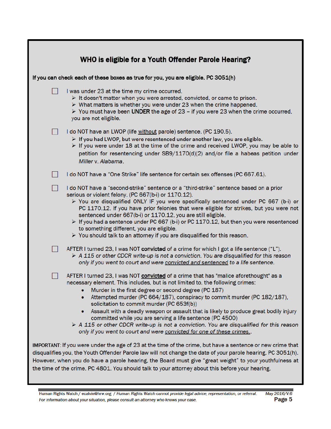| WHO is eligible for a Youth Offender Parole Hearing?                                                                                                                                                                                                                                                                                                                                                                                                                                                                                                                                                                                                                                                                 |
|----------------------------------------------------------------------------------------------------------------------------------------------------------------------------------------------------------------------------------------------------------------------------------------------------------------------------------------------------------------------------------------------------------------------------------------------------------------------------------------------------------------------------------------------------------------------------------------------------------------------------------------------------------------------------------------------------------------------|
| If you can check each of these boxes as true for you, you are eligible. PC 3051(h)                                                                                                                                                                                                                                                                                                                                                                                                                                                                                                                                                                                                                                   |
| I was under 23 at the time my crime occurred.<br>$\triangleright$ It doesn't matter when you were arrested, convicted, or came to prison.<br>$\triangleright$ What matters is whether you were under 23 when the crime happened.<br>$\triangleright$ You must have been UNDER the age of 23 - if you were 23 when the crime occurred,<br>you are not eligible.                                                                                                                                                                                                                                                                                                                                                       |
| I do NOT have an LWOP (life without parole) sentence. (PC 190.5).<br>$\triangleright$ If you had LWOP, but were resentenced under another law, you are eligible.<br>$\triangleright$ If you were under 18 at the time of the crime and received LWOP, you may be able to<br>petition for resentencing under $SB/1170(d)(2)$ and/or file a habeas petition under<br>Miller v. Alabama.                                                                                                                                                                                                                                                                                                                                |
| I do NOT have a "One Strike" life sentence for certain sex offenses (PC 667.61).                                                                                                                                                                                                                                                                                                                                                                                                                                                                                                                                                                                                                                     |
| I do NOT have a "second-strike" sentence or a "third-strike" sentence based on a prior<br>$\mathsf{L}$<br>serious or violent felony. (PC 667(b-i) or 1170.12).<br>$\triangleright$ You are disqualified ONLY IF you were specifically sentenced under PC 667 (b-i) or<br>PC 1170.12. If you have prior felonies that were eligible for strikes, but you were not<br>sentenced under 667(b-i) or 1170.12, you are still eligible.<br>$\triangleright$ If you had a sentence under PC 667 (b-i) or PC 1170.12, but then you were resentenced<br>to something different, you are eligible.<br>$\triangleright$ You should talk to an attorney if you are disqualified for this reason.                                  |
| AFTER I turned 23, I was NOT convicted of a crime for which I got a life sentence ("L").<br>$\triangleright$ A 115 or other CDCR write-up is not a conviction. You are disqualified for this reason<br>only if you went to court and were convicted and sentenced to a life sentence.                                                                                                                                                                                                                                                                                                                                                                                                                                |
| AFTER I turned 23, I was NOT <b>convicted</b> of a crime that has "malice aforethought" as a<br>necessary element. This includes, but is not limited to, the following crimes:<br>Murder in the first degree or second degree (PC 187)<br>Attempted murder (PC 664/187), conspiracy to commit murder (PC 182/187),<br>۰<br>solicitation to commit murder (PC 653f(b))<br>Assault with a deadly weapon or assault that is likely to produce great bodily injury<br>۰<br>committed while you are serving a life sentence (PC 4500)<br>$\triangleright$ A 115 or other CDCR write-up is not a conviction. You are disqualified for this reason<br>only if you went to court and were convicted for one of these crimes. |
| IMPORTANT: If you were under the age of 23 at the time of the crime, but have a sentence or new crime that<br>disqualifies you, the Youth Offender Parole law will not change the date of your parole hearing. PC 3051(h).<br>However, when you do have a parole hearing, the Board must give "great weight" to your youthfulness at<br>the time of the crime. PC 4801. You should talk to your attorney about this before your hearing.                                                                                                                                                                                                                                                                             |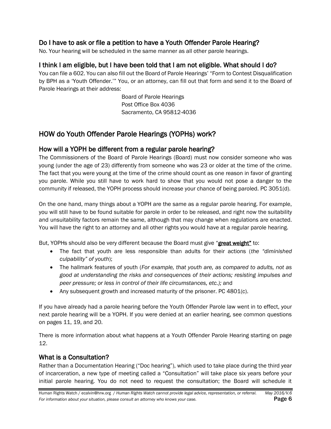#### Do I have to ask or file a petition to have a Youth Offender Parole Hearing?

No. Your hearing will be scheduled in the same manner as all other parole hearings.

#### I think I am eligible, but I have been told that I am not eligible. What should I do?

You can file a 602. You can also fill out the Board of Parole Hearings' "Form to Contest Disqualification by BPH as a 'Youth Offender.'" You, or an attorney, can fill out that form and send it to the Board of Parole Hearings at their address:

> Board of Parole Hearings Post Office Box 4036 Sacramento, CA 95812-4036

#### <span id="page-6-0"></span>HOW do Youth Offender Parole Hearings (YOPHs) work?

#### How will a YOPH be different from a regular parole hearing?

The Commissioners of the Board of Parole Hearings (Board) must now consider someone who was young (under the age of 23) differently from someone who was 23 or older at the time of the crime. The fact that you were young at the time of the crime should count as one reason in favor of granting you parole. While you still have to work hard to show that you would not pose a danger to the community if released, the YOPH process should increase your chance of being paroled. PC 3051(d).

On the one hand, many things about a YOPH are the same as a regular parole hearing. For example, you will still have to be found suitable for parole in order to be released, and right now the suitability and unsuitability factors remain the same, although that may change when regulations are enacted. You will have the right to an attorney and all other rights you would have at a regular parole hearing.

But, YOPHs should also be very different because the Board must give "great weight" to:

- The fact that youth are less responsible than adults for their actions (*the "diminished culpability" of youth*);
- The hallmark features of youth (*For example, that youth are, as compared to adults, not as good at understanding the risks and consequences of their actions; resisting impulses and peer pressure; or less in control of their life circumstances, etc.);* and
- Any subsequent growth and increased maturity of the prisoner. PC 4801(c).

If you have already had a parole hearing before the Youth Offender Parole law went in to effect, your next parole hearing will be a YOPH. If you were denied at an earlier hearing, see common questions on pages 11, 19, and 20.

There is more information about what happens at a Youth Offender Parole Hearing starting on page 12.

#### What is a Consultation?

Rather than a Documentation Hearing ("Doc hearing"), which used to take place during the third year of incarceration, a new type of meeting called a "Consultation" will take place six years before your initial parole hearing. You do not need to request the consultation; the Board will schedule it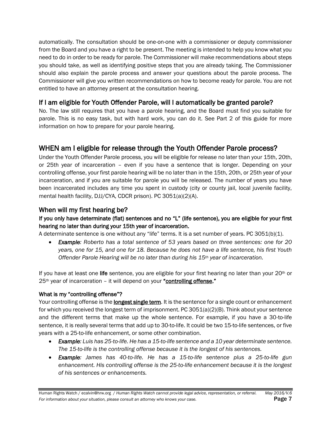automatically. The consultation should be one-on-one with a commissioner or deputy commissioner from the Board and you have a right to be present. The meeting is intended to help you know what you need to do in order to be ready for parole. The Commissioner will make recommendations about steps you should take, as well as identifying positive steps that you are already taking. The Commissioner should also explain the parole process and answer your questions about the parole process. The Commissioner will give you written recommendations on how to become ready for parole. You are not entitled to have an attorney present at the consultation hearing.

#### If I am eligible for Youth Offender Parole, will I automatically be granted parole?

No. The law still requires that you have a parole hearing, and the Board must find you suitable for parole. This is no easy task, but with hard work, you can do it. See Part 2 of this guide for more information on how to prepare for your parole hearing.

#### <span id="page-7-0"></span>WHEN am I eligible for release through the Youth Offender Parole process?

Under the Youth Offender Parole process, you will be eligible for release no later than your 15th, 20th, or 25th year of incarceration – even if you have a sentence that is longer. Depending on your controlling offense, your first parole hearing will be no later than in the 15th, 20th, or 25th year of your incarceration, and if you are suitable for parole you will be released. The number of years you have been incarcerated includes any time you spent in custody (city or county jail, local juvenile facility, mental health facility, DJJ/CYA, CDCR prison). PC 3051(a)(2)(A).

#### When will my first hearing be?

#### If you only have determinate (flat) sentences and no "L" (life sentence), you are eligible for your first hearing no later than during your 15th year of incarceration.

A determinate sentence is one without any "life" terms. It is a set number of years. PC 3051(b)(1).

 *Example: Roberto has a total sentence of 53 years based on three sentences: one for 20 years, one for 15, and one for 18. Because he does not have a life sentence, his first Youth Offender Parole Hearing will be no later than during his 15th year of incarceration.*

If you have at least one life sentence, you are eligible for your first hearing no later than your  $20<sup>th</sup>$  or 25<sup>th</sup> year of incarceration – it will depend on your "controlling offense."

#### What is my "controlling offense"?

Your controlling offense is the **longest single term**. It is the sentence for a single count or enhancement for which you received the longest term of imprisonment. PC 3051(a)(2)(B). Think about your sentence and the different terms that make up the whole sentence. For example, if you have a 30-to-life sentence, it is really several terms that add up to 30-to-life. It could be two 15-to-life sentences, or five years with a 25-to-life enhancement, or some other combination.

- *Example: Luis has 25-to-life. He has a 15-to-life sentence and a 10 year determinate sentence. The 15-to-life is the controlling offense because it is the longest of his sentences.*
- *Example: James has 40-to-life. He has a 15-to-life sentence plus a 25-to-life gun enhancement. His controlling offense is the 25-to-life enhancement because it is the longest of his sentences or enhancements.*

Human Rights Watch / ecalvin@hrw.org / *Human Rights Watch cannot provide legal advice, representation, or referral. May 2016/V.6* **For** information about your situation, please consult an attorney who knows your case. **Page 7**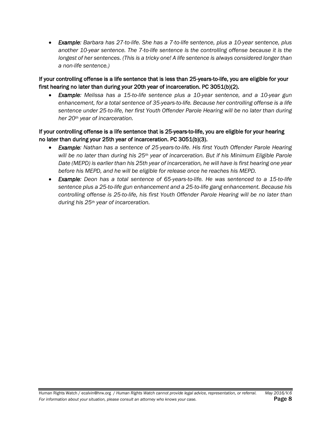*Example: Barbara has 27-to-life. She has a 7-to-life sentence, plus a 10-year sentence, plus another 10-year sentence. The 7-to-life sentence is the controlling offense because it is the longest of her sentences. (This is a tricky one! A life sentence is always considered longer than a non-life sentence.)* 

#### If your controlling offense is a life sentence that is less than 25-years-to-life, you are eligible for your first hearing no later than during your 20th year of incarceration. PC 3051(b)(2).

 *Example: Melissa has a 15-to-life sentence plus a 10-year sentence, and a 10-year gun enhancement, for a total sentence of 35-years-to-life. Because her controlling offense is a life sentence under 25-to-life, her first Youth Offender Parole Hearing will be no later than during her 20th year of incarceration.*

#### If your controlling offense is a life sentence that is 25-years-to-life, you are eligible for your hearing no later than during your 25th year of incarceration. PC 3051(b)(3).

- **Example:** Nathan has a sentence of 25-years-to-life. His first Youth Offender Parole Hearing *will be no later than during his 25th year of incarceration. But if his Minimum Eligible Parole Date (MEPD) is earlier than his 25th year of incarceration, he will have is first hearing one year before his MEPD, and he will be eligible for release once he reaches his MEPD.*
- **Example:** Deon has a total sentence of 65-years-to-life. He was sentenced to a 15-to-life *sentence plus a 25-to-life gun enhancement and a 25-to-life gang enhancement. Because his controlling offense is 25-to-life, his first Youth Offender Parole Hearing will be no later than during his 25th year of incarceration.*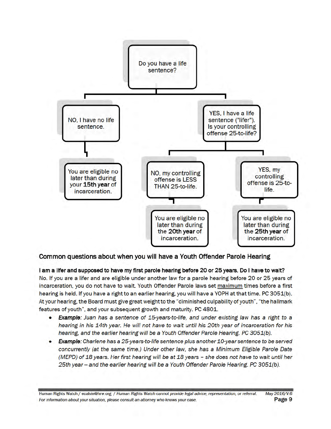

#### Common questions about when you will have a Youth Offender Parole Hearing

I am a lifer and supposed to have my first parole hearing before 20 or 25 years. Do I have to wait? No. If you are a lifer and are eligible under another law for a parole hearing before 20 or 25 years of incarceration, you do not have to wait. Youth Offender Parole laws set maximum times before a first hearing is held. If you have a right to an earlier hearing, you will have a YOPH at that time. PC 3051(b). At your hearing, the Board must give great weight to the "diminished culpability of youth", "the hallmark features of youth", and your subsequent growth and maturity. PC 4801.

- Example: Juan has a sentence of 15-years-to-life, and under existing law has a right to a hearing in his 14th year. He will not have to wait until his 20th year of incarceration for his hearing, and the earlier hearing will be a Youth Offender Parole Hearing. PC 3051(b).
- Example: Charlene has a 25-years-to-life sentence plus another 10-year sentence to be served concurrently (at the same time.) Under other law, she has a Minimum Eligible Parole Date (MEPD) of 18 years. Her first hearing will be at 18 years - she does not have to wait until her 25th year -- and the earlier hearing will be a Youth Offender Parole Hearing. PC 3051(b).

May 2016/V.6 Human Rights Watch / ecalvin@hrw.org / Human Rights Watch cannot provide legal advice, representation, or referral. Page 9 For information about your situation, please consult an attorney who knows your case.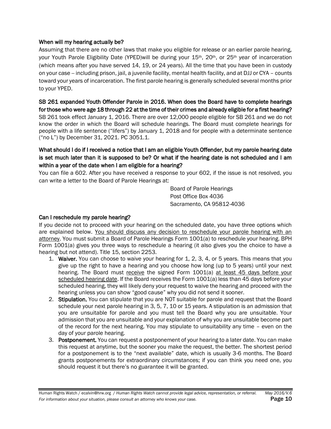#### When will my hearing actually be?

Assuming that there are no other laws that make you eligible for release or an earlier parole hearing, your Youth Parole Eligibility Date (YPED)will be during your  $15th$ ,  $20th$ , or  $25th$  year of incarceration (which means after you have served 14, 19, or 24 years). All the time that you have been in custody on your case -- including prison, jail, a juvenile facility, mental health facility, and at DJJ or CYA – counts toward your years of incarceration. The first parole hearing is generally scheduled several months prior to your YPED.

SB 261 expanded Youth Offender Parole in 2016. When does the Board have to complete hearings for those who were age 18 through 22 at the time of their crimes and already eligible for a first hearing? SB 261 took effect January 1, 2016. There are over 12,000 people eligible for SB 261 and we do not know the order in which the Board will schedule hearings. The Board must complete hearings for people with a life sentence ("lifers") by January 1, 2018 and for people with a determinate sentence ("no L") by December 31, 2021. PC 3051.1.

#### What should I do if I received a notice that I am an eligible Youth Offender, but my parole hearing date is set much later than it is supposed to be? Or what if the hearing date is not scheduled and I am within a year of the date when I am eligible for a hearing?

You can file a 602. After you have received a response to your 602, if the issue is not resolved, you can write a letter to the Board of Parole Hearings at:

> Board of Parole Hearings Post Office Box 4036 Sacramento, CA 95812-4036

#### Can I reschedule my parole hearing?

If you decide not to proceed with your hearing on the scheduled date, you have three options which are explained below. You should discuss any decision to reschedule your parole hearing with an attorney. You must submit a Board of Parole Hearings Form 1001(a) to reschedule your hearing. BPH Form 1001(a) gives you three ways to reschedule a hearing (it also gives you the choice to have a hearing but not attend). Title 15, section 2253.

- 1. Waiver. You can choose to waive your hearing for 1, 2, 3, 4, or 5 years. This means that you give up the right to have a hearing and you choose how long (up to 5 years) until your next hearing. The Board must receive the signed Form 1001(a) at least 45 days before your scheduled hearing date. If the Board receives the Form 1001(a) less than 45 days before your scheduled hearing, they will likely deny your request to waive the hearing and proceed with the hearing unless you can show "good cause" why you did not send it sooner.
- 2. Stipulation. You can stipulate that you are NOT suitable for parole and request that the Board schedule your next parole hearing in 3, 5, 7, 10 or 15 years. A stipulation is an admission that you are unsuitable for parole and you must tell the Board why you are unsuitable. Your admission that you are unsuitable and your explanation of why you are unsuitable become part of the record for the next hearing. You may stipulate to unsuitability any time – even on the day of your parole hearing.
- 3. Postponement. You can request a postponement of your hearing to a later date. You can make this request at anytime, but the sooner you make the request, the better. The shortest period for a postponement is to the "next available" date, which is usually 3-6 months. The Board grants postponements for extraordinary circumstances; if you can think you need one, you should request it but there's no guarantee it will be granted.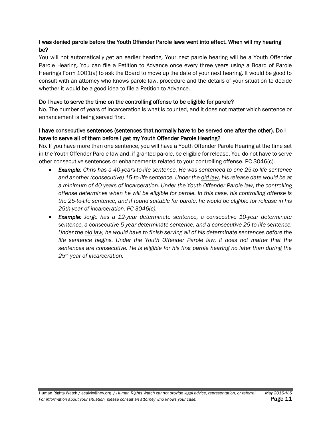#### I was denied parole before the Youth Offender Parole laws went into effect. When will my hearing be?

You will not automatically get an earlier hearing. Your next parole hearing will be a Youth Offender Parole Hearing. You can file a Petition to Advance once every three years using a Board of Parole Hearings Form 1001(a) to ask the Board to move up the date of your next hearing. It would be good to consult with an attorney who knows parole law, procedure and the details of your situation to decide whether it would be a good idea to file a Petition to Advance.

#### Do I have to serve the time on the controlling offense to be eligible for parole?

No. The number of years of incarceration is what is counted, and it does not matter which sentence or enhancement is being served first.

#### I have consecutive sentences (sentences that normally have to be served one after the other). Do I have to serve all of them before I get my Youth Offender Parole Hearing?

No. If you have more than one sentence, you will have a Youth Offender Parole Hearing at the time set in the Youth Offender Parole law and, if granted parole, be eligible for release. You do not have to serve other consecutive sentences or enhancements related to your controlling offense. PC 3046(c).

- *Example: Chris has a 40-years-to-life sentence. He was sentenced to one 25-to-life sentence and another (consecutive) 15-to-life sentence. Under the old law, his release date would be at a minimum of 40 years of incarceration. Under the Youth Offender Parole law, the controlling offense determines when he will be eligible for parole. In this case, his controlling offense is the 25-to-life sentence, and if found suitable for parole, he would be eligible for release in his 25th year of incarceration. PC 3046(c).*
- *Example: Jorge has a 12-year determinate sentence, a consecutive 10-year determinate sentence, a consecutive 5-year determinate sentence, and a consecutive 25-to-life sentence. Under the old law, he would have to finish serving all of his determinate sentences before the life sentence begins. Under the Youth Offender Parole law, it does not matter that the sentences are consecutive. He is eligible for his first parole hearing no later than during the 25th year of incarceration.*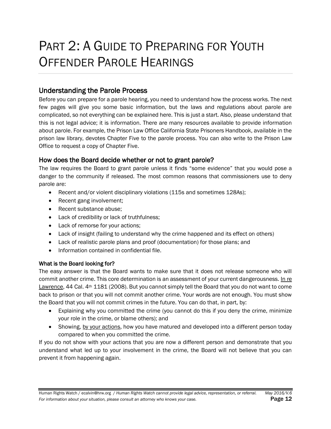# <span id="page-12-0"></span>PART 2: A GUIDE TO PREPARING FOR YOUTH OFFENDER PAROLE HEARINGS

#### <span id="page-12-1"></span>Understanding the Parole Process

Before you can prepare for a parole hearing, you need to understand how the process works. The next few pages will give you some basic information, but the laws and regulations about parole are complicated, so not everything can be explained here. This is just a start. Also, please understand that this is not legal advice; it is information. There are many resources available to provide information about parole. For example, the Prison Law Office California State Prisoners Handbook, available in the prison law library, devotes Chapter Five to the parole process. You can also write to the Prison Law Office to request a copy of Chapter Five.

#### How does the Board decide whether or not to grant parole?

The law requires the Board to grant parole unless it finds "some evidence" that you would pose a danger to the community if released. The most common reasons that commissioners use to deny parole are:

- Recent and/or violent disciplinary violations (115s and sometimes 128As);
- Recent gang involvement;
- Recent substance abuse;
- Lack of credibility or lack of truthfulness;
- Lack of remorse for your actions;
- Lack of insight (failing to understand why the crime happened and its effect on others)
- Lack of realistic parole plans and proof (documentation) for those plans; and
- Information contained in confidential file.

#### What is the Board looking for?

The easy answer is that the Board wants to make sure that it does not release someone who will commit another crime. This core determination is an assessment of your current dangerousness. In re Lawrence, 44 Cal. 4<sup>th</sup> 1181 (2008). But you cannot simply tell the Board that you do not want to come back to prison or that you will not commit another crime. Your words are not enough. You must show the Board that you will not commit crimes in the future. You can do that, in part, by:

- Explaining why you committed the crime (you cannot do this if you deny the crime, minimize your role in the crime, or blame others); and
- Showing, by your actions, how you have matured and developed into a different person today compared to when you committed the crime.

If you do not show with your actions that you are now a different person and demonstrate that you understand what led up to your involvement in the crime, the Board will not believe that you can prevent it from happening again.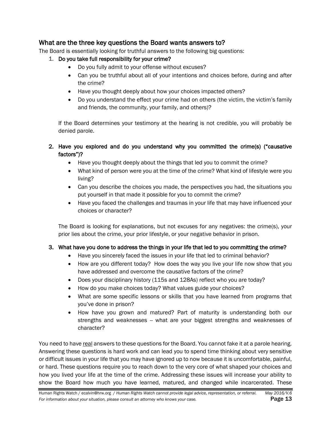#### What are the three key questions the Board wants answers to?

The Board is essentially looking for truthful answers to the following big questions:

- 1. Do you take full responsibility for your crime?
	- Do you fully admit to your offense without excuses?
	- Can you be truthful about all of your intentions and choices before, during and after the crime?
	- Have you thought deeply about how your choices impacted others?
	- Do you understand the effect your crime had on others (the victim, the victim's family and friends, the community, your family, and others)?

If the Board determines your testimony at the hearing is not credible, you will probably be denied parole.

- 2. Have you explored and do you understand why you committed the crime(s) ("causative factors")?
	- Have you thought deeply about the things that led you to commit the crime?
	- What kind of person were you at the time of the crime? What kind of lifestyle were you living?
	- Can you describe the choices you made, the perspectives you had, the situations you put yourself in that made it possible for you to commit the crime?
	- Have you faced the challenges and traumas in your life that may have influenced your choices or character?

The Board is looking for explanations, but not excuses for any negatives: the crime(s), your prior lies about the crime, your prior lifestyle, or your negative behavior in prison.

#### 3. What have you done to address the things in your life that led to you committing the crime?

- Have you sincerely faced the issues in your life that led to criminal behavior?
- How are you different today? How does the way you live your life now show that you have addressed and overcome the causative factors of the crime?
- Does your disciplinary history (115s and 128As) reflect who you are today?
- How do you make choices today? What values guide your choices?
- What are some specific lessons or skills that you have learned from programs that you've done in prison?
- How have you grown and matured? Part of maturity is understanding both our strengths and weaknesses -- what are your biggest strengths and weaknesses of character?

You need to have real answers to these questions for the Board. You cannot fake it at a parole hearing. Answering these questions is hard work and can lead you to spend time thinking about very sensitive or difficult issues in your life that you may have ignored up to now because it is uncomfortable, painful, or hard. These questions require you to reach down to the very core of what shaped your choices and how you lived your life at the time of the crime. Addressing these issues will increase your ability to show the Board how much you have learned, matured, and changed while incarcerated. These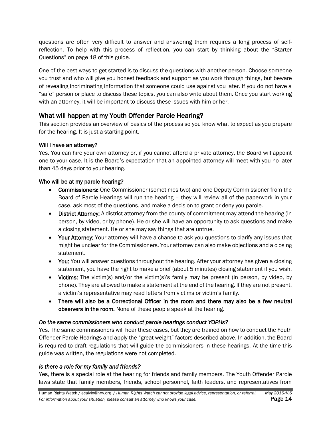questions are often very difficult to answer and answering them requires a long process of selfreflection. To help with this process of reflection, you can start by thinking about the "Starter Questions" on page 18 of this guide.

One of the best ways to get started is to discuss the questions with another person. Choose someone you trust and who will give you honest feedback and support as you work through things, but beware of revealing incriminating information that someone could use against you later. If you do not have a "safe" person or place to discuss these topics, you can also write about them. Once you start working with an attorney, it will be important to discuss these issues with him or her.

#### What will happen at my Youth Offender Parole Hearing?

This section provides an overview of basics of the process so you know what to expect as you prepare for the hearing. It is just a starting point.

#### Will I have an attorney?

Yes. You can hire your own attorney or, if you cannot afford a private attorney, the Board will appoint one to your case. It is the Board's expectation that an appointed attorney will meet with you no later than 45 days prior to your hearing.

#### Who will be at my parole hearing?

- Commissioners: One Commissioner (sometimes two) and one Deputy Commissioner from the Board of Parole Hearings will run the hearing – they will review all of the paperwork in your case, ask most of the questions, and make a decision to grant or deny you parole.
- District Attorney: A district attorney from the county of commitment may attend the hearing (in person, by video, or by phone). He or she will have an opportunity to ask questions and make a closing statement. He or she may say things that are untrue.
- Your Attorney: Your attorney will have a chance to ask you questions to clarify any issues that might be unclear for the Commissioners. Your attorney can also make objections and a closing statement.
- You: You will answer questions throughout the hearing. After your attorney has given a closing statement, you have the right to make a brief (about 5 minutes) closing statement if you wish.
- Victims: The victim(s) and/or the victim(s)'s family may be present (in person, by video, by phone). They are allowed to make a statement at the end of the hearing. If they are not present, a victim's representative may read letters from victims or victim's family.
- There will also be a Correctional Officer in the room and there may also be a few neutral observers in the room. None of these people speak at the hearing.

#### *Do the same commissioners who conduct parole hearings conduct YOPHs?*

Yes. The same commissioners will hear these cases, but they are trained on how to conduct the Youth Offender Parole Hearings and apply the "great weight" factors described above. In addition, the Board is required to draft regulations that will guide the commissioners in these hearings. At the time this guide was written, the regulations were not completed.

#### *Is there a role for my family and friends?*

Yes, there is a special role at the hearing for friends and family members. The Youth Offender Parole laws state that family members, friends, school personnel, faith leaders, and representatives from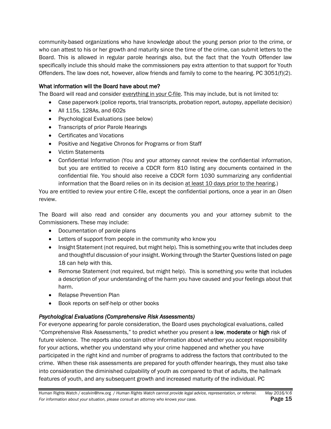community-based organizations who have knowledge about the young person prior to the crime, or who can attest to his or her growth and maturity since the time of the crime, can submit letters to the Board. This is allowed in regular parole hearings also, but the fact that the Youth Offender law specifically include this should make the commissioners pay extra attention to that support for Youth Offenders. The law does not, however, allow friends and family to come to the hearing. PC 3051( $f$ )(2).

#### What information will the Board have about me?

The Board will read and consider everything in your C-file. This may include, but is not limited to:

- Case paperwork (police reports, trial transcripts, probation report, autopsy, appellate decision)
- All 115s, 128As, and 602s
- Psychological Evaluations (see below)
- Transcripts of prior Parole Hearings
- Certificates and Vocations
- Positive and Negative Chronos for Programs or from Staff
- Victim Statements
- Confidential Information (You and your attorney cannot review the confidential information, but you are entitled to receive a CDCR form 810 listing any documents contained in the confidential file. You should also receive a CDCR form 1030 summarizing any confidential information that the Board relies on in its decision at least 10 days prior to the hearing.)

You are entitled to review your entire C-file, except the confidential portions, once a year in an *Olsen*  review.

The Board will also read and consider any documents you and your attorney submit to the Commissioners. These may include:

- Documentation of parole plans
- Letters of support from people in the community who know you
- Insight Statement (not required, but might help). This is something you write that includes deep and thoughtful discussion of your insight. Working through the Starter Questions listed on page 18 can help with this.
- Remorse Statement (not required, but might help). This is something you write that includes a description of your understanding of the harm you have caused and your feelings about that harm.
- Relapse Prevention Plan
- Book reports on self-help or other books

#### *Psychological Evaluations (Comprehensive Risk Assessments)*

For everyone appearing for parole consideration, the Board uses psychological evaluations, called "Comprehensive Risk Assessments," to predict whether you present a low, moderate or high risk of future violence. The reports also contain other information about whether you accept responsibility for your actions, whether you understand why your crime happened and whether you have participated in the right kind and number of programs to address the factors that contributed to the crime. When these risk assessments are prepared for youth offender hearings, they must also take into consideration the diminished culpability of youth as compared to that of adults, the hallmark features of youth, and any subsequent growth and increased maturity of the individual. PC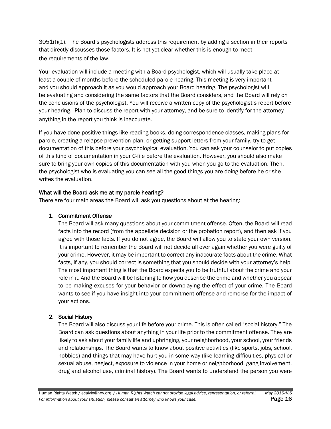3051(f)(1). The Board's psychologists address this requirement by adding a section in their reports that directly discusses those factors. It is not yet clear whether this is enough to meet the requirements of the law.

Your evaluation will include a meeting with a Board psychologist, which will usually take place at least a couple of months before the scheduled parole hearing. This meeting is very important and you should approach it as you would approach your Board hearing. The psychologist will be evaluating and considering the same factors that the Board considers, and the Board will rely on the conclusions of the psychologist. You will receive a written copy of the psychologist's report before your hearing. Plan to discuss the report with your attorney, and be sure to identify for the attorney anything in the report you think is inaccurate.

If you have done positive things like reading books, doing correspondence classes, making plans for parole, creating a relapse prevention plan, or getting support letters from your family, try to get documentation of this before your psychological evaluation. You can ask your counselor to put copies of this kind of documentation in your C-file before the evaluation. However, you should also make sure to bring your own copies of this documentation with you when you go to the evaluation. Then, the psychologist who is evaluating you can see all the good things you are doing before he or she writes the evaluation.

#### What will the Board ask me at my parole hearing?

There are four main areas the Board will ask you questions about at the hearing:

#### 1. Commitment Offense

The Board will ask many questions about your commitment offense. Often, the Board will read facts into the record (from the appellate decision or the probation report), and then ask if you agree with those facts. If you do not agree, the Board will allow you to state your own version. It is important to remember the Board will not decide all over again whether you were guilty of your crime. However, it may be important to correct any inaccurate facts about the crime. What facts, if any, you should correct is something that you should decide with your attorney's help. The most important thing is that the Board expects you to be truthful about the crime and your role in it. And the Board will be listening to how you describe the crime and whether you appear to be making excuses for your behavior or downplaying the effect of your crime. The Board wants to see if you have insight into your commitment offense and remorse for the impact of your actions.

#### 2. Social History

The Board will also discuss your life before your crime. This is often called "social history." The Board can ask questions about anything in your life prior to the commitment offense. They are likely to ask about your family life and upbringing, your neighborhood, your school, your friends and relationships. The Board wants to know about positive activities (like sports, jobs, school, hobbies) and things that may have hurt you in some way (like learning difficulties, physical or sexual abuse, neglect, exposure to violence in your home or neighborhood, gang involvement, drug and alcohol use, criminal history). The Board wants to understand the person you were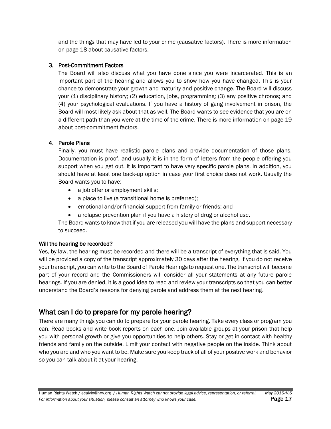and the things that may have led to your crime (causative factors). There is more information on page [18](#page-18-0) about causative factors.

#### 3. Post-Commitment Factors

The Board will also discuss what you have done since you were incarcerated. This is an important part of the hearing and allows you to show how you have changed. This is your chance to demonstrate your growth and maturity and positive change. The Board will discuss your (1) disciplinary history; (2) education, jobs, programming; (3) any positive chronos; and (4) your psychological evaluations. If you have a history of gang involvement in prison, the Board will most likely ask about that as well. The Board wants to see evidence that you are on a different path than you were at the time of the crime. There is more information on page 19 about post-commitment factors.

#### 4. Parole Plans

Finally, you must have realistic parole plans and provide documentation of those plans. Documentation is proof, and usually it is in the form of letters from the people offering you support when you get out. It is important to have very specific parole plans. In addition, you should have at least one back-up option in case your first choice does not work. Usually the Board wants you to have:

- a job offer or employment skills;
- a place to live (a transitional home is preferred);
- emotional and/or financial support from family or friends; and
- a relapse prevention plan if you have a history of drug or alcohol use.

The Board wants to know that if you are released you will have the plans and support necessary to succeed.

#### Will the hearing be recorded?

Yes, by law, the hearing must be recorded and there will be a transcript of everything that is said. You will be provided a copy of the transcript approximately 30 days after the hearing. If you do not receive your transcript, you can write to the Board of Parole Hearings to request one. The transcript will become part of your record and the Commissioners will consider all your statements at any future parole hearings. If you are denied, it is a good idea to read and review your transcripts so that you can better understand the Board's reasons for denying parole and address them at the next hearing.

#### <span id="page-17-0"></span>What can I do to prepare for my parole hearing?

There are many things you can do to prepare for your parole hearing. Take every class or program you can. Read books and write book reports on each one. Join available groups at your prison that help you with personal growth or give you opportunities to help others. Stay or get in contact with healthy friends and family on the outside. Limit your contact with negative people on the inside. Think about who you are and who you want to be. Make sure you keep track of all of your positive work and behavior so you can talk about it at your hearing.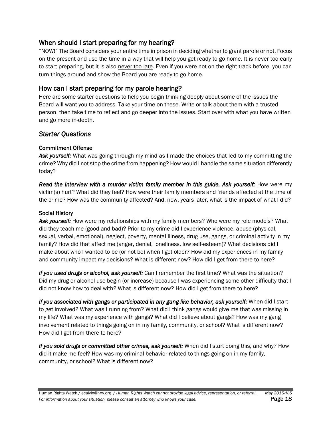#### When should I start preparing for my hearing?

"NOW!" The Board considers your entire time in prison in deciding whether to grant parole or not. Focus on the present and use the time in a way that will help you get ready to go home. It is never too early to start preparing, but it is also never too late. Even if you were not on the right track before, you can turn things around and show the Board you are ready to go home.

#### How can I start preparing for my parole hearing?

Here are some starter questions to help you begin thinking deeply about some of the issues the Board will want you to address. Take your time on these. Write or talk about them with a trusted person, then take time to reflect and go deeper into the issues. Start over with what you have written and go more in-depth.

#### *Starter Questions*

#### Commitment Offense

*Ask yourself:* What was going through my mind as I made the choices that led to my committing the crime? Why did I not stop the crime from happening? How would I handle the same situation differently today?

*Read the interview with a murder victim family member in this guide. Ask yourself:* How were my victim(s) hurt? What did they feel? How were their family members and friends affected at the time of the crime? How was the community affected? And, now, years later, what is the impact of what I did?

#### <span id="page-18-0"></span>Social History

*Ask yourself:* How were my relationships with my family members? Who were my role models? What did they teach me (good and bad)? Prior to my crime did I experience violence, abuse (physical, sexual, verbal, emotional), neglect, poverty, mental illness, drug use, gangs, or criminal activity in my family? How did that affect me (anger, denial, loneliness, low self-esteem)? What decisions did I make about who I wanted to be (or not be) when I got older? How did my experiences in my family and community impact my decisions? What is different now? How did I get from there to here?

*If you used drugs or alcohol, ask yourself:* Can I remember the first time? What was the situation? Did my drug or alcohol use begin (or increase) because I was experiencing some other difficulty that I did not know how to deal with? What is different now? How did I get from there to here?

*If you associated with gangs or participated in any gang-like behavior, ask yourself:* When did I start to get involved? What was I running from? What did I think gangs would give me that was missing in my life? What was my experience with gangs? What did I believe about gangs? How was my gang involvement related to things going on in my family, community, or school? What is different now? How did I get from there to here?

*If you sold drugs or committed other crimes, ask yourself:* When did I start doing this, and why? How did it make me feel? How was my criminal behavior related to things going on in my family, community, or school? What is different now?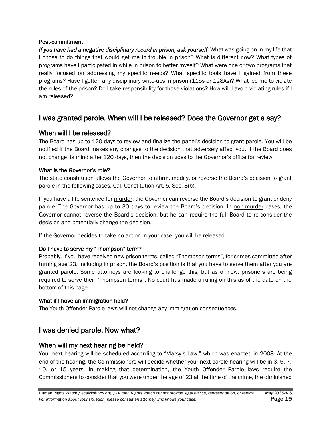#### Post-commitment

*If you have had a negative disciplinary record in prison, ask yourself:* What was going on in my life that I chose to do things that would get me in trouble in prison? What is different now? What types of programs have I participated in while in prison to better myself? What were one or two programs that really focused on addressing my specific needs? What specific tools have I gained from these programs? Have I gotten any disciplinary write-ups in prison (115s or 128As)? What led me to violate the rules of the prison? Do I take responsibility for those violations? How will I avoid violating rules if I am released?

#### <span id="page-19-0"></span>I was granted parole. When will I be released? Does the Governor get a say?

#### When will I be released?

The Board has up to 120 days to review and finalize the panel's decision to grant parole. You will be notified if the Board makes any changes to the decision that adversely affect you. If the Board does not change its mind after 120 days, then the decision goes to the Governor's office for review.

#### What is the Governor's role?

The state constitution allows the Governor to affirm, modify, or reverse the Board's decision to grant parole in the following cases. Cal. Constitution Art. 5, Sec. 8(b).

If you have a life sentence for murder, the Governor can reverse the Board's decision to grant or deny parole. The Governor has up to 30 days to review the Board's decision. In non-murder cases, the Governor cannot reverse the Board's decision, but he can require the full Board to re-consider the decision and potentially change the decision.

If the Governor decides to take no action in your case, you will be released.

#### Do I have to serve my "Thompson" term?

Probably. If you have received new prison terms, called "Thompson terms", for crimes committed after turning age 23, including in prison, the Board's position is that you have to serve them after you are granted parole. Some attorneys are looking to challenge this, but as of now, prisoners are being required to serve their "Thompson terms". No court has made a ruling on this as of the date on the bottom of this page.

#### What if I have an immigration hold?

The Youth Offender Parole laws will not change any immigration consequences.

#### <span id="page-19-1"></span>I was denied parole. Now what?

#### When will my next hearing be held?

Your next hearing will be scheduled according to "Marsy's Law," which was enacted in 2008. At the end of the hearing, the Commissioners will decide whether your next parole hearing will be in 3, 5, 7, 10, or 15 years. In making that determination, the Youth Offender Parole laws require the Commissioners to consider that you were under the age of 23 at the time of the crime, the diminished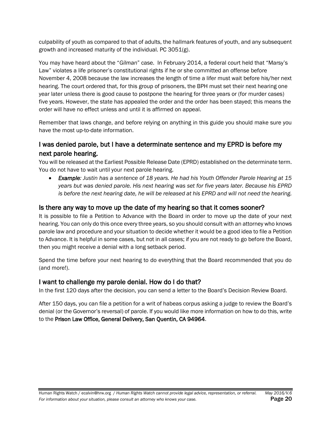culpability of youth as compared to that of adults, the hallmark features of youth, and any subsequent growth and increased maturity of the individual. PC 3051(g).

You may have heard about the "*Gilman*" case. In February 2014, a federal court held that "Marsy's Law" violates a life prisoner's constitutional rights if he or she committed an offense before November 4, 2008 because the law increases the length of time a lifer must wait before his/her next hearing. The court ordered that, for this group of prisoners, the BPH must set their next hearing one year later unless there is good cause to postpone the hearing for three years or (for murder cases) five years. However, the state has appealed the order and the order has been stayed; this means the order will have no effect unless and until it is affirmed on appeal.

Remember that laws change, and before relying on anything in this guide you should make sure you have the most up-to-date information.

#### I was denied parole, but I have a determinate sentence and my EPRD is before my next parole hearing.

You will be released at the Earliest Possible Release Date (EPRD) established on the determinate term. You do not have to wait until your next parole hearing.

 *Example: Justin has a sentence of 18 years. He had his Youth Offender Parole Hearing at 15 years but was denied parole. His next hearing was set for five years later. Because his EPRD is before the next hearing date, he will be released at his EPRD and will not need the hearing.*

#### Is there any way to move up the date of my hearing so that it comes sooner?

It is possible to file a Petition to Advance with the Board in order to move up the date of your next hearing. You can only do this once every three years, so you should consult with an attorney who knows parole law and procedure and your situation to decide whether it would be a good idea to file a Petition to Advance. It is helpful in some cases, but not in all cases; if you are not ready to go before the Board, then you might receive a denial with a long setback period.

Spend the time before your next hearing to do everything that the Board recommended that you do (and more!).

#### I want to challenge my parole denial. How do I do that?

In the first 120 days after the decision, you can send a letter to the Board's Decision Review Board.

After 150 days, you can file a petition for a writ of habeas corpus asking a judge to review the Board's denial (or the Governor's reversal) of parole. If you would like more information on how to do this, write to the Prison Law Office, General Delivery, San Quentin, CA 94964.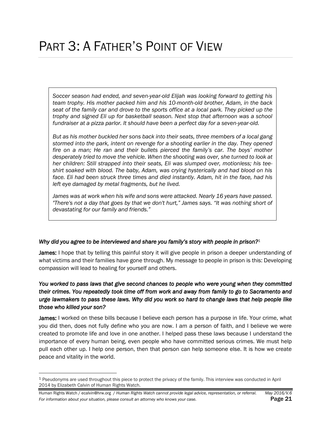# <span id="page-21-0"></span>PART 3: A FATHER'S POINT OF VIEW

*Soccer season had ended, and seven-year-old Elijah was looking forward to getting his team trophy. His mother packed him and his 10-month-old brother, Adam, in the back seat of the family car and drove to the sports office at a local park. They picked up the trophy and signed Eli up for basketball season. Next stop that afternoon was a school fundraiser at a pizza parlor. It should have been a perfect day for a seven-year-old.* 

*But as his mother buckled her sons back into their seats, three members of a local gang stormed into the park, intent on revenge for a shooting earlier in the day. They opened fire on a man; He ran and their bullets pierced the family's car. The boys' mother desperately tried to move the vehicle. When the shooting was over, she turned to look at her children: Still strapped into their seats, Eli was slumped over, motionless; his teeshirt soaked with blood. The baby, Adam, was crying hysterically and had blood on his face. Eli had been struck three times and died instantly. Adam, hit in the face, had his left eye damaged by metal fragments, but he lived.*

*James was at work when his wife and sons were attacked. Nearly 16 years have passed. "There's not a day that goes by that we don't hurt," James says. "It was nothing short of devastating for our family and friends."*

#### *Why did you agree to be interviewed and share you family's story with people in prison?*<sup>1</sup>

James: I hope that by telling this painful story it will give people in prison a deeper understanding of what victims and their families have gone through. My message to people in prison is this: Developing compassion will lead to healing for yourself and others.

*You worked to pass laws that give second chances to people who were young when they committed their crimes. You repeatedly took time off from work and away from family to go to Sacramento and urge lawmakers to pass these laws. Why did you work so hard to change laws that help people like those who killed your son?* 

James: I worked on these bills because I believe each person has a purpose in life. Your crime, what you did then, does not fully define who you are now. I am a person of faith, and I believe we were created to promote life and love in one another. I helped pass these laws because I understand the importance of every human being, even people who have committed serious crimes. We must help pull each other up. I help one person, then that person can help someone else. It is how we create peace and vitality in the world.

l

<sup>1</sup> Pseudonyms are used throughout this piece to protect the privacy of the family. This interview was conducted in April 2014 by Elizabeth Calvin of Human Rights Watch.

Human Rights Watch / ecalvin@hrw.org / *Human Rights Watch cannot provide legal advice, representation, or referral. May 2016/V.6* **For** information about your situation, please consult an attorney who knows your case. **Page 21**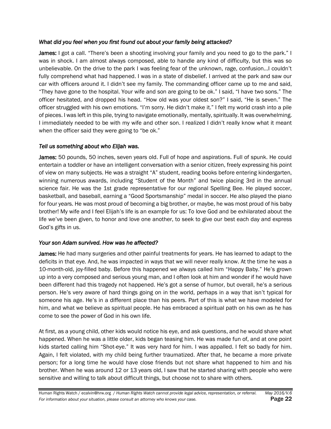#### *What did you feel when you first found out about your family being attacked?*

James: I got a call. "There's been a shooting involving your family and you need to go to the park." I was in shock. I am almost always composed, able to handle any kind of difficulty, but this was so unbelievable. On the drive to the park I was feeling fear of the unknown, rage, confusion…I couldn't fully comprehend what had happened. I was in a state of disbelief. I arrived at the park and saw our car with officers around it. I didn't see my family. The commanding officer came up to me and said, "They have gone to the hospital. Your wife and son are going to be ok." I said, "I have two sons." The officer hesitated, and dropped his head. "How old was your oldest son?" I said, "He is seven." The officer struggled with his own emotions. "I'm sorry. He didn't make it." I felt my world crash into a pile of pieces. I was left in this pile, trying to navigate emotionally, mentally, spiritually. It was overwhelming. I immediately needed to be with my wife and other son. I realized I didn't really know what it meant when the officer said they were going to "be ok."

#### *Tell us something about who Elijah was.*

James: 50 pounds, 50 inches, seven years old. Full of hope and aspirations. Full of spunk. He could entertain a toddler or have an intelligent conversation with a senior citizen, freely expressing his point of view on many subjects. He was a straight "A" student, reading books before entering kindergarten, winning numerous awards, including "Student of the Month" and twice placing 3rd in the annual science fair. He was the 1st grade representative for our regional Spelling Bee. He played soccer, basketball, and baseball, earning a "Good Sportsmanship" medal in soccer. He also played the piano for four years. He was most proud of becoming a big brother, or maybe, he was most proud of his baby brother! My wife and I feel Elijah's life is an example for us: To love God and be exhilarated about the life we've been given, to honor and love one another, to seek to give our best each day and express God's gifts in us.

#### *Your son Adam survived. How was he affected?*

James: He had many surgeries and other painful treatments for years. He has learned to adapt to the deficits in that eye. And, he was impacted in ways that we will never really know. At the time he was a 10-month-old, joy-filled baby. Before this happened we always called him "Happy Baby." He's grown up into a very composed and serious young man, and I often look at him and wonder if he would have been different had this tragedy not happened. He's got a sense of humor, but overall, he's a serious person. He's very aware of hard things going on in the world, perhaps in a way that isn't typical for someone his age. He's in a different place than his peers. Part of this is what we have modeled for him, and what we believe as spiritual people. He has embraced a spiritual path on his own as he has come to see the power of God in his own life.

At first, as a young child, other kids would notice his eye, and ask questions, and he would share what happened. When he was a little older, kids began teasing him. He was made fun of, and at one point kids started calling him "Shot-eye." It was very hard for him. I was appalled. I felt so badly for him. Again, I felt violated, with my child being further traumatized. After that, he became a more private person; for a long time he would have close friends but not share what happened to him and his brother. When he was around 12 or 13 years old, I saw that he started sharing with people who were sensitive and willing to talk about difficult things, but choose not to share with others.

Human Rights Watch / ecalvin@hrw.org / *Human Rights Watch cannot provide legal advice, representation, or referral. May 2016/V.6* For information about your situation, please consult an attorney who knows your case. **Page 22**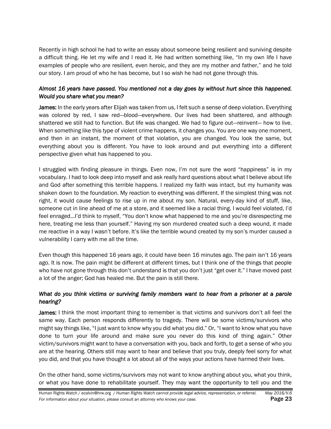Recently in high school he had to write an essay about someone being resilient and surviving despite a difficult thing. He let my wife and I read it. He had written something like, "In my own life I have examples of people who are resilient, even heroic, and they are my mother and father," and he told our story. I am proud of who he has become, but I so wish he had not gone through this.

#### *Almost 16 years have passed. You mentioned not a day goes by without hurt since this happened. Would you share what you mean?*

James: In the early years after Elijah was taken from us, I felt such a sense of deep violation. Everything was colored by red, I saw red—blood—everywhere. Our lives had been shattered, and although shattered we still had to function. But life was changed. We had to figure out—reinvent— how to live. When something like this type of violent crime happens, it changes you. You are one way one moment, and then in an instant, the moment of that violation, you are changed. You look the same, but everything about you is different. You have to look around and put everything into a different perspective given what has happened to you.

I struggled with finding pleasure in things. Even now, I'm not sure the word "happiness" is in my vocabulary. I had to look deep into myself and ask really hard questions about what I believe about life and God after something this terrible happens. I realized my faith was intact, but my humanity was shaken down to the foundation. My reaction to everything was different. If the simplest thing was not right, it would cause feelings to rise up in me about my son. Natural, every-day kind of stuff, like, someone cut in line ahead of me at a store, and it seemed like a racial thing. I would feel violated, I'd feel enraged…I'd think to myself, "You don't know what happened to me and you're disrespecting me here, treating me less than yourself." Having my son murdered created such a deep wound, it made me reactive in a way I wasn't before. It's like the terrible wound created by my son's murder caused a vulnerability I carry with me all the time.

Even though this happened 16 years ago, it could have been 16 minutes ago. The pain isn't 16 years ago. It is now. The pain might be different at different times, but I think one of the things that people who have not gone through this don't understand is that you don't just "get over it." I have moved past a lot of the anger; God has healed me. But the pain is still there.

#### *What do you think victims or surviving family members want to hear from a prisoner at a parole hearing?*

James: I think the most important thing to remember is that victims and survivors don't all feel the same way. Each person responds differently to tragedy. There will be some victims/survivors who might say things like, "I just want to know why you did what you did." Or, "I want to know what you have done to turn your life around and make sure you never do this kind of thing again." Other victim/survivors might want to have a conversation with you, back and forth, to get a sense of who you are at the hearing. Others still may want to hear and believe that you truly, deeply feel sorry for what you did, and that you have thought a lot about all of the ways your actions have harmed their lives.

On the other hand, some victims/survivors may not want to know anything about you, what you think, or what you have done to rehabilitate yourself. They may want the opportunity to tell you and the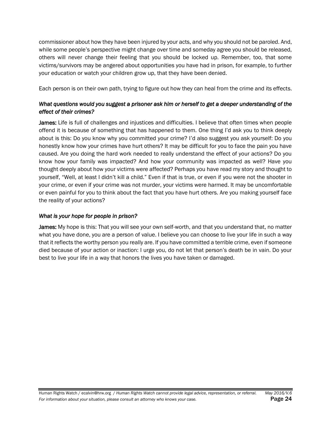commissioner about how they have been injured by your acts, and why you should not be paroled. And, while some people's perspective might change over time and someday agree you should be released, others will never change their feeling that you should be locked up. Remember, too, that some victims/survivors may be angered about opportunities you have had in prison, for example, to further your education or watch your children grow up, that they have been denied.

Each person is on their own path, trying to figure out how they can heal from the crime and its effects.

#### *What questions would you suggest a prisoner ask him or herself to get a deeper understanding of the effect of their crimes?*

James: Life is full of challenges and injustices and difficulties. I believe that often times when people offend it is because of something that has happened to them. One thing I'd ask you to think deeply about is this: Do you know why you committed your crime? I'd also suggest you ask yourself: Do you honestly know how your crimes have hurt others? It may be difficult for you to face the pain you have caused. Are you doing the hard work needed to really understand the effect of your actions? Do you know how your family was impacted? And how your community was impacted as well? Have you thought deeply about how your victims were affected? Perhaps you have read my story and thought to yourself, "Well, at least I didn't kill a child." Even if that is true, or even if you were not the shooter in your crime, or even if your crime was not murder, your victims were harmed. It may be uncomfortable or even painful for you to think about the fact that you have hurt others. Are you making yourself face the reality of your actions?

#### *What is your hope for people in prison?*

James: My hope is this: That you will see your own self-worth, and that you understand that, no matter what you have done, you are a person of value. I believe you can choose to live your life in such a way that it reflects the worthy person you really are. If you have committed a terrible crime, even if someone died because of your action or inaction: I urge you, do not let that person's death be in vain. Do your best to live your life in a way that honors the lives you have taken or damaged.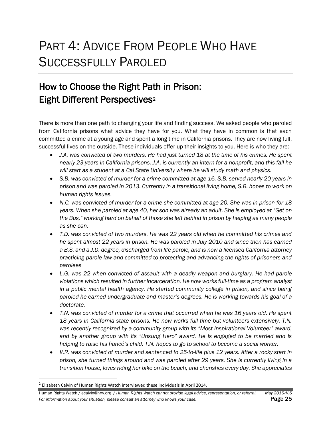### <span id="page-25-0"></span>PART 4: ADVICE FROM PEOPLE WHO HAVE SUCCESSFULLY PAROLED

### How to Choose the Right Path in Prison: Eight Different Perspectives<sup>2</sup>

There is more than one path to changing your life and finding success. We asked people who paroled from California prisons what advice they have for you. What they have in common is that each committed a crime at a young age and spent a long time in California prisons. They are now living full, successful lives on the outside. These individuals offer up their insights to you. Here is who they are:

- *J.A. was convicted of two murders. He had just turned 18 at the time of his crimes. He spent nearly 23 years in California prisons. J.A. is currently an intern for a nonprofit, and this fall he will start as a student at a Cal State University where he will study math and physics.*
- *S.B. was convicted of murder for a crime committed at age 16. S.B. served nearly 20 years in prison and was paroled in 2013. Currently in a transitional living home, S.B. hopes to work on human rights issues.*
- *N.C. was convicted of murder for a crime she committed at age 20. She was in prison for 18 years. When she paroled at age 40, her son was already an adult. She is employed at "Get on the Bus," working hard on behalf of those she left behind in prison by helping as many people as she can.*
- *T.D. was convicted of two murders. He was 22 years old when he committed his crimes and he spent almost 22 years in prison. He was paroled in July 2010 and since then has earned a B.S. and a J.D. degree, discharged from life parole, and is now a licensed California attorney practicing parole law and committed to protecting and advancing the rights of prisoners and parolees*
- L.G. was 22 when convicted of assault with a deadly weapon and burglary. He had parole *violations which resulted in further incarceration. He now works full-time as a program analyst in a public mental health agency. He started community college in prison, and since being paroled he earned undergraduate and master's degrees. He is working towards his goal of a doctorate.*
- *T.N. was convicted of murder for a crime that occurred when he was 16 years old. He spent 18 years in California state prisons. He now works full time but volunteers extensively. T.N. was recently recognized by a community group with its "Most Inspirational Volunteer" award, and by another group with its "Unsung Hero" award. He is engaged to be married and is helping to raise his fiancé's child. T.N. hopes to go to school to become a social worker.*
- *V.R. was convicted of murder and sentenced to 25-to-life plus 12 years. After a rocky start in prison, she turned things around and was paroled after 29 years. She is currently living in a transition house, loves riding her bike on the beach, and cherishes every day. She appreciates*

l

 $^2$  Elizabeth Calvin of Human Rights Watch interviewed these individuals in April 2014.

Human Rights Watch / ecalvin@hrw.org / *Human Rights Watch cannot provide legal advice, representation, or referral. May 2016/V.6* For information about your situation, please consult an attorney who knows your case. **Page 25**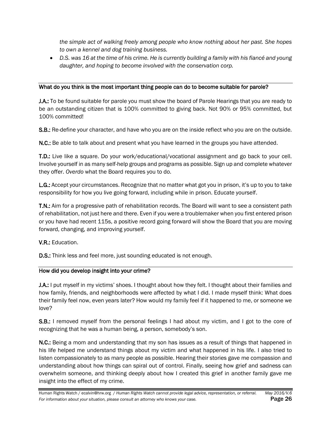*the simple act of walking freely among people who know nothing about her past. She hopes to own a kennel and dog training business.* 

 *D.S. was 16 at the time of his crime. He is currently building a family with his fiancé and young daughter, and hoping to become involved with the conservation corp.* 

#### What do you think is the most important thing people can do to become suitable for parole?

J.A.: To be found suitable for parole you must show the board of Parole Hearings that you are ready to be an outstanding citizen that is 100% committed to giving back. Not 90% or 95% committed, but 100% committed!

S.B.: Re-define your character, and have who you are on the inside reflect who you are on the outside.

N.C.: Be able to talk about and present what you have learned in the groups you have attended.

T.D.: Live like a square. Do your work/educational/vocational assignment and go back to your cell. Involve yourself in as many self-help groups and programs as possible. Sign up and complete whatever they offer. *Overdo* what the Board requires you to do.

L.G.: Accept your circumstances. Recognize that no matter what got you in prison, it's up to you to take responsibility for how you live going forward, including while in prison. Educate yourself.

T.N.: Aim for a progressive path of rehabilitation records. The Board will want to see a consistent path of rehabilitation, not just here and there. Even if you were a troublemaker when you first entered prison or you have had recent 115s, a positive record going forward will show the Board that you are moving forward, changing, and improving yourself.

V.R.: Education.

D.S.: Think less and feel more, just sounding educated is not enough.

#### How did you develop insight into your crime?

J.A.: I put myself in my victims' shoes. I thought about how they felt. I thought about their families and how family, friends, and neighborhoods were affected by what I did. I made myself think: What does their family feel now, even years later? How would my family feel if it happened to me, or someone we love?

**S.B.:** I removed myself from the personal feelings I had about my victim, and I got to the core of recognizing that he was a human being, a person, somebody's son.

N.C.: Being a mom and understanding that my son has issues as a result of things that happened in his life helped me understand things about my victim and what happened in his life. I also tried to listen compassionately to as many people as possible. Hearing their stories gave me compassion and understanding about how things can spiral out of control. Finally, seeing how grief and sadness can overwhelm someone, and thinking deeply about how I created this grief in another family gave me insight into the effect of my crime.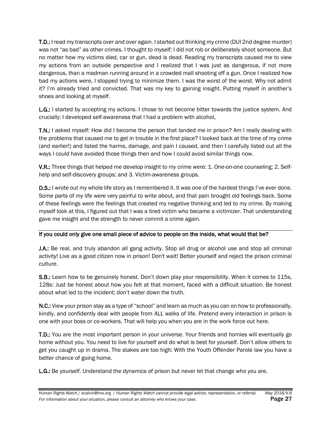T.D.: I read my transcripts over and over again. I started out thinking my crime (DUI 2nd degree murder) was not "as bad" as other crimes. I thought to myself: I did not rob or deliberately shoot someone. But no matter how my victims died, car or gun, dead is dead. Reading my transcripts caused me to view my actions from an outside perspective and I realized that I was just as dangerous, if not more dangerous, than a madman running around in a crowded mall shooting off a gun. Once I realized how bad my actions were, I stopped trying to minimize them. I was the worst of the worst. Why not admit it? I'm already tried and convicted. That was my key to gaining insight. Putting myself in another's shoes and looking at myself.

L.G.: I started by accepting my actions. I chose to not become bitter towards the justice system. And crucially: I developed self-awareness that I had a problem with alcohol.

T.N.: I asked myself: How did I become the person that landed me in prison? Am I really dealing with the problems that caused me to get in trouble in the first place? I looked back at the time of my crime (and earlier!) and listed the harms, damage, and pain I caused, and then I carefully listed out all the ways I could have avoided those things then and how I could avoid similar things now.

V.R.: Three things that helped me develop insight to my crime were: 1. One-on-one counseling; 2. Selfhelp and self-discovery groups; and 3. Victim-awareness groups.

**D.S.:** I wrote out my whole life story as I remembered it. It was one of the hardest things I've ever done. Some parts of my life were very painful to write about, and that pain brought old feelings back. Some of these feelings were the feelings that created my negative thinking and led to my crime. By making myself look at this, I figured out that I was a tired victim who became a victimizer. That understanding gave me insight and the strength to never commit a crime again.

#### If you could only give one small piece of advice to people on the inside, what would that be?

J.A.: Be real, and truly abandon all gang activity. Stop all drug or alcohol use and stop all criminal activity! Live as a good citizen now in prison! Don't wait! Better yourself and reject the prison criminal culture.

S.B.: Learn how to be genuinely honest. Don't down play your responsibility. When it comes to 115s, 128s: Just be honest about how you felt at that moment, faced with a difficult situation. Be honest about what led to the incident; don't water down the truth.

N.C.: View your prison stay as a type of "school" and learn as much as you can on how to professionally, kindly, and confidently deal with people from ALL walks of life. Pretend every interaction in prison is one with your boss or co-workers. That will help you when you are in the work force out here.

T.D.: You are the most important person in your universe. Your friends and homies will eventually go home without you. You need to live for yourself and do what is best for yourself. Don't allow others to get you caught up in drama. The stakes are too high: With the Youth Offender Parole law you have a better chance of going home.

L.G.: Be yourself. Understand the dynamics of prison but never let that change who you are.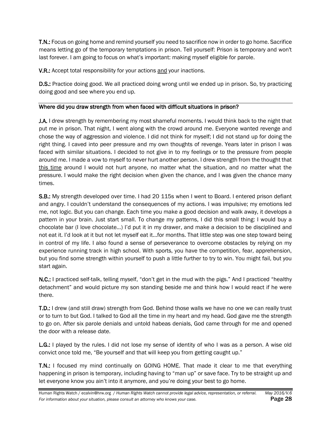T.N.: Focus on going home and remind yourself you need to sacrifice now in order to go home. Sacrifice means letting go of the temporary temptations in prison. Tell yourself: Prison is temporary and won't last forever. I am going to focus on what's important: making myself eligible for parole.

V.R.: Accept total responsibility for your actions and your inactions.

**D.S.:** Practice doing good. We all practiced doing wrong until we ended up in prison. So, try practicing doing good and see where you end up.

#### Where did you draw strength from when faced with difficult situations in prison?

**J.A.** I drew strength by remembering my most shameful moments. I would think back to the night that put me in prison. That night, I went along with the crowd around me. Everyone wanted revenge and chose the way of aggression and violence. I did not think for myself; I did not stand up for doing the right thing. I caved into peer pressure and my own thoughts of revenge. Years later in prison I was faced with similar situations. I decided to not give in to my feelings or to the pressure from people around me. I made a vow to myself to never hurt another person. I drew strength from the thought that this time around I would not hurt anyone, no matter what the situation, and no matter what the pressure. I would make the right decision when given the chance, and I was given the chance many times.

S.B.: My strength developed over time. I had 20 115s when I went to Board. I entered prison defiant and angry. I couldn't understand the consequences of my actions. I was impulsive; my emotions led me, not logic. But you can change. Each time you make a good decision and walk away, it develops a pattern in your brain. Just start small. To change my patterns, I did this small thing: I would buy a chocolate bar (I love chocolate…) I'd put it in my drawer, and make a decision to be disciplined and not eat it. I'd look at it but not let myself eat it…for months. That little step was one step toward being in control of my life. I also found a sense of perseverance to overcome obstacles by relying on my experience running track in high school. With sports, you have the competition, fear, apprehension, but you find some strength within yourself to push a little further to try to win. You might fail, but you start again.

N.C.: I practiced self-talk, telling myself, "don't get in the mud with the pigs." And I practiced "healthy detachment" and would picture my son standing beside me and think how I would react if he were there.

T.D.: I drew (and still draw) strength from God. Behind those walls we have no one we can really trust or to turn to but God. I talked to God all the time in my heart and my head. God gave me the strength to go on. After six parole denials and untold habeas denials, God came through for me and opened the door with a release date.

L.G.: I played by the rules. I did not lose my sense of identity of who I was as a person. A wise old convict once told me, "Be yourself and that will keep you from getting caught up."

T.N.: I focused my mind continually on GOING HOME. That made it clear to me that everything happening in prison is temporary, including having to "man up" or save face. Try to be straight up and let everyone know you ain't into it anymore, and you're doing your best to go home.

Human Rights Watch / ecalvin@hrw.org / *Human Rights Watch cannot provide legal advice, representation, or referral. May 2016/V.6* For information about your situation, please consult an attorney who knows your case. **Page 28**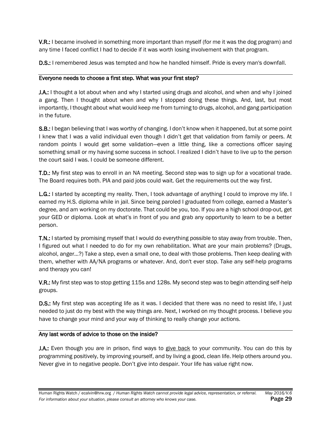V.R.: I became involved in something more important than myself (for me it was the dog program) and any time I faced conflict I had to decide if it was worth losing involvement with that program.

**D.S.:** I remembered Jesus was tempted and how he handled himself. Pride is every man's downfall.

#### Everyone needs to choose a first step. What was your first step?

J.A.: I thought a lot about when and why I started using drugs and alcohol, and when and why I joined a gang. Then I thought about when and why I stopped doing these things. And, last, but most importantly, I thought about what would keep me from turning to drugs, alcohol, and gang participation in the future.

S.B.: I began believing that I was worthy of changing. I don't know when it happened, but at some point I knew that I was a valid individual even though I didn't get that validation from family or peers. At random points I would get some validation—even a little thing, like a corrections officer saying something small or my having some success in school. I realized I didn't have to live up to the person the court said I was. I could be someone different.

T.D.: My first step was to enroll in an NA meeting. Second step was to sign up for a vocational trade. The Board requires both. PIA and paid jobs could wait. Get the requirements out the way first.

L.G.: I started by accepting my reality. Then, I took advantage of anything I could to improve my life. I earned my H.S. diploma while in jail. Since being paroled I graduated from college, earned a Master's degree, and am working on my doctorate. That could be you, too. If you are a high school drop-out, get your GED or diploma. Look at what's in front of you and grab any opportunity to learn to be a better person.

T.N.: I started by promising myself that I would do everything possible to stay away from trouble. Then, I figured out what I needed to do for my own rehabilitation. What are your main problems? (Drugs, alcohol, anger…?) Take a step, even a small one, to deal with those problems. Then keep dealing with them, whether with AA/NA programs or whatever. And, don't ever stop. Take any self-help programs and therapy you can!

V.R.: My first step was to stop getting 115s and 128s. My second step was to begin attending self-help groups.

D.S.: My first step was accepting life as it was. I decided that there was no need to resist life, I just needed to just do my best with the way things are. Next, I worked on my thought process. I believe you have to change your mind and your way of thinking to really change your actions.

#### Any last words of advice to those on the inside?

J.A.: Even though you are in prison, find ways to give back to your community. You can do this by programming positively, by improving yourself, and by living a good, clean life. Help others around you. Never give in to negative people. Don't give into despair. Your life has value right now.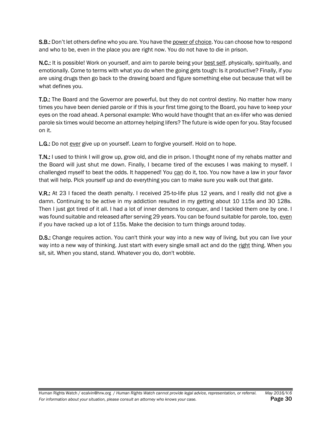S.B.: Don't let others define who you are. You have the power of choice. You can choose how to respond and who to be, even in the place you are right now. You do not have to die in prison.

N.C.: It is possible! Work on yourself, and aim to parole being your best self, physically, spiritually, and emotionally. Come to terms with what you do when the going gets tough: Is it productive? Finally, if you are using drugs then go back to the drawing board and figure something else out because that will be what defines you.

T.D.: The Board and the Governor are powerful, but they do not control destiny. No matter how many times you have been denied parole or if this is your first time going to the Board, you have to keep your eyes on the road ahead. A personal example: Who would have thought that an ex-lifer who was denied parole six times would become an attorney helping lifers? The future is wide open for you. Stay focused on it.

L.G.: Do not ever give up on yourself. Learn to forgive yourself. Hold on to hope.

T.N.: I used to think I will grow up, grow old, and die in prison. I thought none of my rehabs matter and the Board will just shut me down. Finally, I became tired of the excuses I was making to myself. I challenged myself to beat the odds. It happened! You can do it, too. You now have a law in your favor that will help. Pick yourself up and do everything you can to make sure you walk out that gate.

V.R.: At 23 I faced the death penalty. I received 25-to-life plus 12 years, and I really did not give a damn. Continuing to be active in my addiction resulted in my getting about 10 115s and 30 128s. Then I just got tired of it all. I had a lot of inner demons to conquer, and I tackled them one by one. I was found suitable and released after serving 29 years. You can be found suitable for parole, too, even if you have racked up a lot of 115s. Make the decision to turn things around today.

D.S.: Change requires action. You can't think your way into a new way of living, but you can live your way into a new way of thinking. Just start with every single small act and do the right thing. When you sit, sit. When you stand, stand. Whatever you do, don't wobble.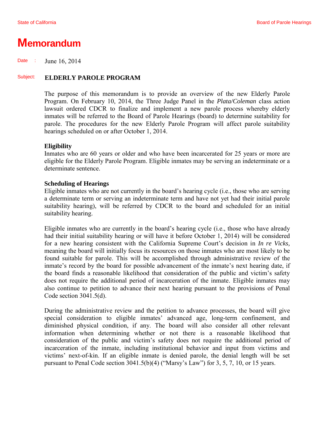### **Memorandum**

Date : June 16, 2014

#### Subject: **ELDERLY PAROLE PROGRAM**

The purpose of this memorandum is to provide an overview of the new Elderly Parole Program. On February 10, 2014, the Three Judge Panel in the *Plata/Coleman* class action lawsuit ordered CDCR to finalize and implement a new parole process whereby elderly inmates will be referred to the Board of Parole Hearings (board) to determine suitability for parole. The procedures for the new Elderly Parole Program will affect parole suitability hearings scheduled on or after October 1, 2014.

#### **Eligibility**

Inmates who are 60 years or older and who have been incarcerated for 25 years or more are eligible for the Elderly Parole Program. Eligible inmates may be serving an indeterminate or a determinate sentence.

#### **Scheduling of Hearings**

Eligible inmates who are not currently in the board's hearing cycle (i.e., those who are serving a determinate term or serving an indeterminate term and have not yet had their initial parole suitability hearing), will be referred by CDCR to the board and scheduled for an initial suitability hearing.

Eligible inmates who are currently in the board's hearing cycle (i.e., those who have already had their initial suitability hearing or will have it before October 1, 2014) will be considered for a new hearing consistent with the California Supreme Court's decision in *In re Vicks,*  meaning the board will initially focus its resources on those inmates who are most likely to be found suitable for parole. This will be accomplished through administrative review of the inmate's record by the board for possible advancement of the inmate's next hearing date, if the board finds a reasonable likelihood that consideration of the public and victim's safety does not require the additional period of incarceration of the inmate. Eligible inmates may also continue to petition to advance their next hearing pursuant to the provisions of Penal Code section 3041.5(d).

During the administrative review and the petition to advance processes, the board will give special consideration to eligible inmates' advanced age, long-term confinement, and diminished physical condition, if any. The board will also consider all other relevant information when determining whether or not there is a reasonable likelihood that consideration of the public and victim's safety does not require the additional period of incarceration of the inmate, including institutional behavior and input from victims and victims' next-of-kin. If an eligible inmate is denied parole, the denial length will be set pursuant to Penal Code section 3041.5(b)(4) ("Marsy's Law") for 3, 5, 7, 10, or 15 years.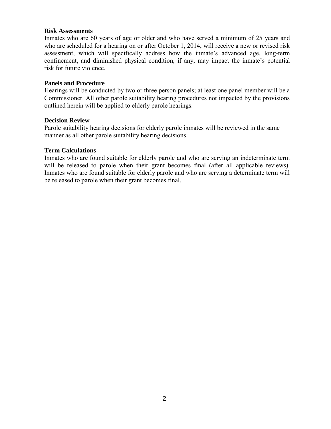#### **Risk Assessments**

Inmates who are 60 years of age or older and who have served a minimum of 25 years and who are scheduled for a hearing on or after October 1, 2014, will receive a new or revised risk assessment, which will specifically address how the inmate's advanced age, long-term confinement, and diminished physical condition, if any, may impact the inmate's potential risk for future violence.

#### **Panels and Procedure**

Hearings will be conducted by two or three person panels; at least one panel member will be a Commissioner. All other parole suitability hearing procedures not impacted by the provisions outlined herein will be applied to elderly parole hearings.

#### **Decision Review**

Parole suitability hearing decisions for elderly parole inmates will be reviewed in the same manner as all other parole suitability hearing decisions.

#### **Term Calculations**

Inmates who are found suitable for elderly parole and who are serving an indeterminate term will be released to parole when their grant becomes final (after all applicable reviews). Inmates who are found suitable for elderly parole and who are serving a determinate term will be released to parole when their grant becomes final.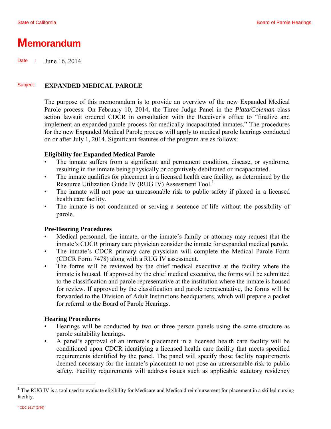### **Memorandum**

Date : June 16, 2014

#### Subject: **EXPANDED MEDICAL PAROLE**

The purpose of this memorandum is to provide an overview of the new Expanded Medical Parole process. On February 10, 2014, the Three Judge Panel in the *Plata/Coleman* class action lawsuit ordered CDCR in consultation with the Receiver's office to "finalize and implement an expanded parole process for medically incapacitated inmates." The procedures for the new Expanded Medical Parole process will apply to medical parole hearings conducted on or after July 1, 2014. Significant features of the program are as follows:

#### **Eligibility for Expanded Medical Parole**

- The inmate suffers from a significant and permanent condition, disease, or syndrome, resulting in the inmate being physically or cognitively debilitated or incapacitated.
- The inmate qualifies for placement in a licensed health care facility, as determined by the Resource Utilization Guide IV (RUG IV) Assessment Tool.<sup>1</sup>
- The inmate will not pose an unreasonable risk to public safety if placed in a licensed health care facility.
- The inmate is not condemned or serving a sentence of life without the possibility of parole.

#### **Pre-Hearing Procedures**

- Medical personnel, the inmate, or the inmate's family or attorney may request that the inmate's CDCR primary care physician consider the inmate for expanded medical parole.
- The inmate's CDCR primary care physician will complete the Medical Parole Form (CDCR Form 7478) along with a RUG IV assessment.
- The forms will be reviewed by the chief medical executive at the facility where the inmate is housed. If approved by the chief medical executive, the forms will be submitted to the classification and parole representative at the institution where the inmate is housed for review. If approved by the classification and parole representative, the forms will be forwarded to the Division of Adult Institutions headquarters, which will prepare a packet for referral to the Board of Parole Hearings.

#### **Hearing Procedures**

- Hearings will be conducted by two or three person panels using the same structure as parole suitability hearings.
- A panel's approval of an inmate's placement in a licensed health care facility will be conditioned upon CDCR identifying a licensed health care facility that meets specified requirements identified by the panel. The panel will specify those facility requirements deemed necessary for the inmate's placement to not pose an unreasonable risk to public safety. Facility requirements will address issues such as applicable statutory residency

l

 $1$  The RUG IV is a tool used to evaluate eligibility for Medicare and Medicaid reimbursement for placement in a skilled nursing facility.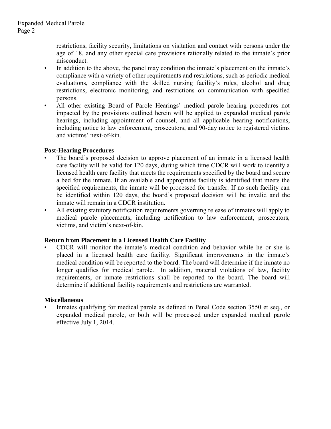restrictions, facility security, limitations on visitation and contact with persons under the age of 18, and any other special care provisions rationally related to the inmate's prior misconduct.

- In addition to the above, the panel may condition the inmate's placement on the inmate's compliance with a variety of other requirements and restrictions, such as periodic medical evaluations, compliance with the skilled nursing facility's rules, alcohol and drug restrictions, electronic monitoring, and restrictions on communication with specified persons.
- All other existing Board of Parole Hearings' medical parole hearing procedures not impacted by the provisions outlined herein will be applied to expanded medical parole hearings, including appointment of counsel, and all applicable hearing notifications, including notice to law enforcement, prosecutors, and 90-day notice to registered victims and victims' next-of-kin.

#### **Post-Hearing Procedures**

- The board's proposed decision to approve placement of an inmate in a licensed health care facility will be valid for 120 days, during which time CDCR will work to identify a licensed health care facility that meets the requirements specified by the board and secure a bed for the inmate. If an available and appropriate facility is identified that meets the specified requirements, the inmate will be processed for transfer. If no such facility can be identified within 120 days, the board's proposed decision will be invalid and the inmate will remain in a CDCR institution.
- All existing statutory notification requirements governing release of inmates will apply to medical parole placements, including notification to law enforcement, prosecutors, victims, and victim's next-of-kin.

#### **Return from Placement in a Licensed Health Care Facility**

• CDCR will monitor the inmate's medical condition and behavior while he or she is placed in a licensed health care facility. Significant improvements in the inmate's medical condition will be reported to the board. The board will determine if the inmate no longer qualifies for medical parole. In addition, material violations of law, facility requirements, or inmate restrictions shall be reported to the board. The board will determine if additional facility requirements and restrictions are warranted.

#### **Miscellaneous**

• Inmates qualifying for medical parole as defined in Penal Code section 3550 et seq., or expanded medical parole, or both will be processed under expanded medical parole effective July 1, 2014.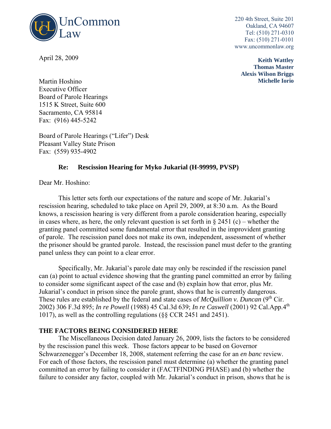

April 28, 2009

220 4th Street, Suite 201 Oakland, CA 94607 Tel: (510) 271-0310 Fax: (510) 271-0101 www.uncommonlaw.org

> **Keith Wattley Thomas Master Alexis Wilson Briggs Michelle Iorio**

Martin Hoshino Executive Officer Board of Parole Hearings 1515 K Street, Suite 600 Sacramento, CA 95814 Fax: (916) 445-5242

Board of Parole Hearings ("Lifer") Desk Pleasant Valley State Prison Fax: (559) 935-4902

#### **Re: Rescission Hearing for Myko Jukarial (H-99999, PVSP)**

Dear Mr. Hoshino:

 This letter sets forth our expectations of the nature and scope of Mr. Jukarial's rescission hearing, scheduled to take place on April 29, 2009, at 8:30 a.m. As the Board knows, a rescission hearing is very different from a parole consideration hearing, especially in cases where, as here, the only relevant question is set forth in  $\S 2451$  (c) – whether the granting panel committed some fundamental error that resulted in the improvident granting of parole. The rescission panel does not make its own, independent, assessment of whether the prisoner should be granted parole. Instead, the rescission panel must defer to the granting panel unless they can point to a clear error.

Specifically, Mr. Jukarial's parole date may only be rescinded if the rescission panel can (a) point to actual evidence showing that the granting panel committed an error by failing to consider some significant aspect of the case and (b) explain how that error, plus Mr. Jukarial's conduct in prison since the parole grant, shows that he is currently dangerous. These rules are established by the federal and state cases of  $McQuillion v. Duncan (9<sup>th</sup> Cir.$ 2002) 306 F.3d 895; *In re Powell* (1988) 45 Cal.3d 639; *In re Caswell* (2001) 92 Cal.App.4th 1017), as well as the controlling regulations (§§ CCR 2451 and 2451).

#### **THE FACTORS BEING CONSIDERED HERE**

The Miscellaneous Decision dated January 26, 2009, lists the factors to be considered by the rescission panel this week. Those factors appear to be based on Governor Schwarzenegger's December 18, 2008, statement referring the case for an *en banc* review. For each of those factors, the rescission panel must determine (a) whether the granting panel committed an error by failing to consider it (FACTFINDING PHASE) and (b) whether the failure to consider any factor, coupled with Mr. Jukarial's conduct in prison, shows that he is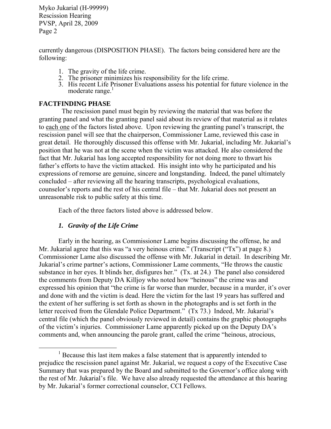currently dangerous (DISPOSITION PHASE). The factors being considered here are the following:

- 1. The gravity of the life crime.
- 2. The prisoner minimizes his responsibility for the life crime.
- 3. His recent Life Prisoner Evaluations assess his potential for future violence in the moderate range.<sup>1</sup>

#### **FACTFINDING PHASE**

 The rescission panel must begin by reviewing the material that was before the granting panel and what the granting panel said about its review of that material as it relates to each one of the factors listed above. Upon reviewing the granting panel's transcript, the rescission panel will see that the chairperson, Commissioner Lame, reviewed this case in great detail. He thoroughly discussed this offense with Mr. Jukarial, including Mr. Jukarial's position that he was not at the scene when the victim was attacked. He also considered the fact that Mr. Jukarial has long accepted responsibility for not doing more to thwart his father's efforts to have the victim attacked. His insight into why he participated and his expressions of remorse are genuine, sincere and longstanding. Indeed, the panel ultimately concluded – after reviewing all the hearing transcripts, psychological evaluations, counselor's reports and the rest of his central file – that Mr. Jukarial does not present an unreasonable risk to public safety at this time.

Each of the three factors listed above is addressed below.

#### *1. Gravity of the Life Crime*

 $\overline{a}$ 

Early in the hearing, as Commissioner Lame begins discussing the offense, he and Mr. Jukarial agree that this was "a very heinous crime." (Transcript ("Tx") at page 8.) Commissioner Lame also discussed the offense with Mr. Jukarial in detail. In describing Mr. Jukarial's crime partner's actions, Commissioner Lame comments, "He throws the caustic substance in her eyes. It blinds her, disfigures her." (Tx. at 24.) The panel also considered the comments from Deputy DA Killjoy who noted how "heinous" the crime was and expressed his opinion that "the crime is far worse than murder, because in a murder, it's over and done with and the victim is dead. Here the victim for the last 19 years has suffered and the extent of her suffering is set forth as shown in the photographs and is set forth in the letter received from the Glendale Police Department." (Tx 73.) Indeed, Mr. Jukarial's central file (which the panel obviously reviewed in detail) contains the graphic photographs of the victim's injuries. Commissioner Lame apparently picked up on the Deputy DA's comments and, when announcing the parole grant, called the crime "heinous, atrocious,

 $<sup>1</sup>$  Because this last item makes a false statement that is apparently intended to</sup> prejudice the rescission panel against Mr. Jukarial, we request a copy of the Executive Case Summary that was prepared by the Board and submitted to the Governor's office along with the rest of Mr. Jukarial's file. We have also already requested the attendance at this hearing by Mr. Jukarial's former correctional counselor, CCI Fellows.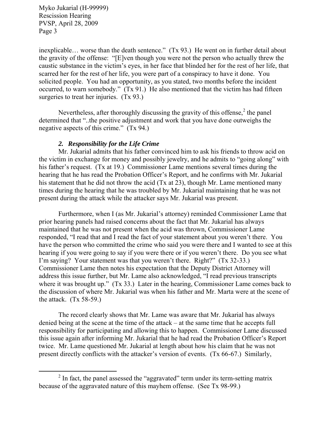$\overline{a}$ 

inexplicable… worse than the death sentence." (Tx 93.) He went on in further detail about the gravity of the offense: "[E]ven though you were not the person who actually threw the caustic substance in the victim's eyes, in her face that blinded her for the rest of her life, that scarred her for the rest of her life, you were part of a conspiracy to have it done. You solicited people. You had an opportunity, as you stated, two months before the incident occurred, to warn somebody." (Tx 91.) He also mentioned that the victim has had fifteen surgeries to treat her injuries. (Tx 93.)

Nevertheless, after thoroughly discussing the gravity of this offense, $2$  the panel determined that "..the positive adjustment and work that you have done outweighs the negative aspects of this crime." (Tx 94.)

#### *2. Responsibility for the Life Crime*

Mr. Jukarial admits that his father convinced him to ask his friends to throw acid on the victim in exchange for money and possibly jewelry, and he admits to "going along" with his father's request. (Tx at 19.)Commissioner Lame mentions several times during the hearing that he has read the Probation Officer's Report, and he confirms with Mr. Jukarial his statement that he did not throw the acid (Tx at 23), though Mr. Lame mentioned many times during the hearing that he was troubled by Mr. Jukarial maintaining that he was not present during the attack while the attacker says Mr. Jukarial was present.

Furthermore, when I (as Mr. Jukarial's attorney) reminded Commissioner Lame that prior hearing panels had raised concerns about the fact that Mr. Jukarial has always maintained that he was not present when the acid was thrown, Commissioner Lame responded, "I read that and I read the fact of your statement about you weren't there. You have the person who committed the crime who said you were there and I wanted to see at this hearing if you were going to say if you were there or if you weren't there. Do you see what I'm saying? Your statement was that you weren't there. Right?" (Tx 32-33.) Commissioner Lame then notes his expectation that the Deputy District Attorney will address this issue further, but Mr. Lame also acknowledged, "I read previous transcripts where it was brought up." (Tx 33.) Later in the hearing, Commissioner Lame comes back to the discussion of where Mr. Jukarial was when his father and Mr. Marta were at the scene of the attack.  $(Tx 58-59)$ .

The record clearly shows that Mr. Lame was aware that Mr. Jukarial has always denied being at the scene at the time of the attack – at the same time that he accepts full responsibility for participating and allowing this to happen. Commissioner Lame discussed this issue again after informing Mr. Jukarial that he had read the Probation Officer's Report twice. Mr. Lame questioned Mr. Jukarial at length about how his claim that he was not present directly conflicts with the attacker's version of events. (Tx 66-67.) Similarly,

 $2$  In fact, the panel assessed the "aggravated" term under its term-setting matrix because of the aggravated nature of this mayhem offense. (See Tx 98-99.)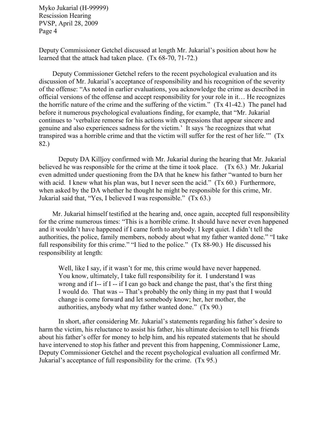Deputy Commissioner Getchel discussed at length Mr. Jukarial's position about how he learned that the attack had taken place. (Tx 68-70, 71-72.)

Deputy Commissioner Getchel refers to the recent psychological evaluation and its discussion of Mr. Jukarial's acceptance of responsibility and his recognition of the severity of the offense: "As noted in earlier evaluations, you acknowledge the crime as described in official versions of the offense and accept responsibility for your role in it… He recognizes the horrific nature of the crime and the suffering of the victim." (Tx 41-42.) The panel had before it numerous psychological evaluations finding, for example, that "Mr. Jukarial continues to 'verbalize remorse for his actions with expressions that appear sincere and genuine and also experiences sadness for the victim.' It says 'he recognizes that what transpired was a horrible crime and that the victim will suffer for the rest of her life.'" (Tx 82.)

Deputy DA Killjoy confirmed with Mr. Jukarial during the hearing that Mr. Jukarial believed he was responsible for the crime at the time it took place. (Tx 63.) Mr. Jukarial even admitted under questioning from the DA that he knew his father "wanted to burn her with acid. I knew what his plan was, but I never seen the acid." (Tx 60.) Furthermore, when asked by the DA whether he thought he might be responsible for this crime, Mr. Jukarial said that, "Yes, I believed I was responsible." (Tx 63.)

Mr. Jukarial himself testified at the hearing and, once again, accepted full responsibility for the crime numerous times: "This is a horrible crime. It should have never even happened and it wouldn't have happened if I came forth to anybody. I kept quiet. I didn't tell the authorities, the police, family members, nobody about what my father wanted done." "I take full responsibility for this crime." "I lied to the police." (Tx 88-90.) He discussed his responsibility at length:

Well, like I say, if it wasn't for me, this crime would have never happened. You know, ultimately, I take full responsibility for it. I understand I was wrong and if I-- if I -- if I can go back and change the past, that's the first thing I would do. That was -- That's probably the only thing in my past that I would change is come forward and let somebody know; her, her mother, the authorities, anybody what my father wanted done." (Tx 90.)

In short, after considering Mr. Jukarial's statements regarding his father's desire to harm the victim, his reluctance to assist his father, his ultimate decision to tell his friends about his father's offer for money to help him, and his repeated statements that he should have intervened to stop his father and prevent this from happening, Commissioner Lame, Deputy Commissioner Getchel and the recent psychological evaluation all confirmed Mr. Jukarial's acceptance of full responsibility for the crime. (Tx 95.)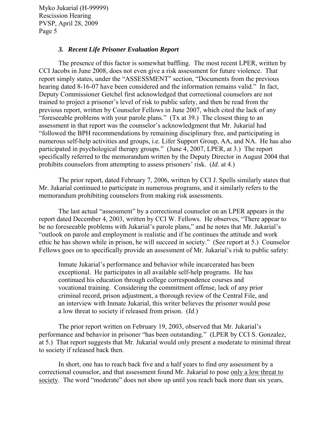#### *3. Recent Life Prisoner Evaluation Report*

 The presence of this factor is somewhat baffling. The most recent LPER, written by CCI Jacobs in June 2008, does not even give a risk assessment for future violence. That report simply states, under the "ASSESSMENT" section, "Documents from the previous hearing dated 8-16-07 have been considered and the information remains valid." In fact, Deputy Commissioner Getchel first acknowledged that correctional counselors are not trained to project a prisoner's level of risk to public safety, and then he read from the previous report, written by Counselor Fellows in June 2007, which cited the lack of any "foreseeable problems with your parole plans." (Tx at 39.) The closest thing to an assessment in that report was the counselor's acknowledgment that Mr. Jukarial had "followed the BPH recommendations by remaining disciplinary free, and participating in numerous self-help activities and groups, i.e. Lifer Support Group, AA, and NA. He has also participated in psychological therapy groups." (June 4, 2007, LPER, at 3.) The report specifically referred to the memorandum written by the Deputy Director in August 2004 that prohibits counselors from attempting to assess prisoners' risk. (*Id*. at 4.)

The prior report, dated February 7, 2006, written by CCI J. Spells similarly states that Mr. Jukarial continued to participate in numerous programs, and it similarly refers to the memorandum prohibiting counselors from making risk assessments.

 The last actual "assessment" by a correctional counselor on an LPER appears in the report dated December 4, 2003, written by CCI W. Fellows. He observes, "There appear to be no foreseeable problems with Jukarial's parole plans," and he notes that Mr. Jukarial's "outlook on parole and employment is realistic and if he continues the attitude and work ethic he has shown while in prison, he will succeed in society." (See report at 5.) Counselor Fellows goes on to specifically provide an assessment of Mr. Jukarial's risk to public safety:

Inmate Jukarial's performance and behavior while incarcerated has been exceptional. He participates in all available self-help programs. He has continued his education through college correspondence courses and vocational training. Considering the commitment offense, lack of any prior criminal record, prison adjustment, a thorough review of the Central File, and an interview with Inmate Jukarial, this writer believes the prisoner would pose a low threat to society if released from prison. (*Id*.)

The prior report written on February 19, 2003, observed that Mr. Jukarial's performance and behavior in prisoner "has been outstanding." (LPER by CCI S. Gonzalez, at 5.) That report suggests that Mr. Jukarial would only present a moderate to minimal threat to society if released back then.

 In short, one has to reach back five and a half years to find *any* assessment by a correctional counselor, and that assessment found Mr. Jukarial to pose only a low threat to society. The word "moderate" does not show up until you reach back more than six years,